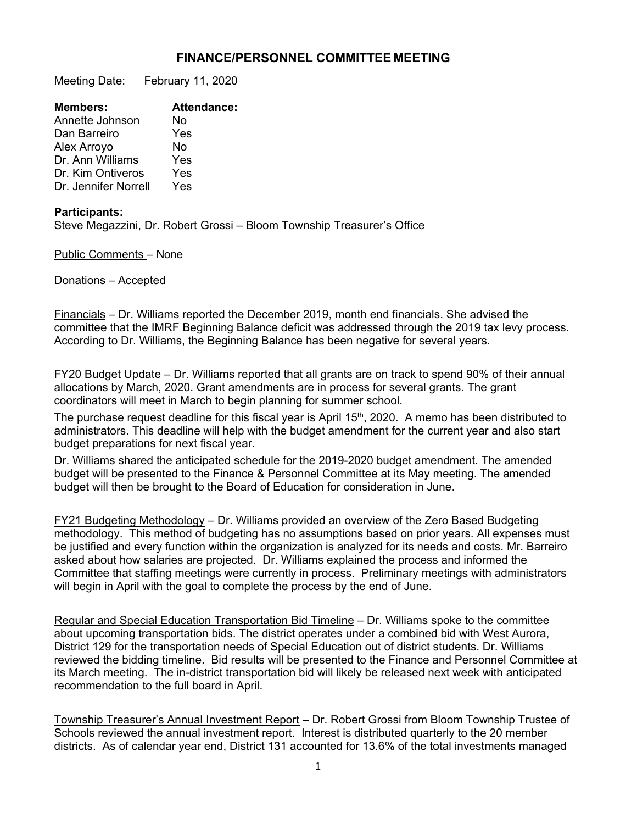## **FINANCE/PERSONNEL COMMITTEE MEETING**

Meeting Date: February 11, 2020

| <b>Attendance:</b> |
|--------------------|
| No                 |
| Yes                |
| No                 |
| Yes                |
| Yes                |
| Yes                |
|                    |

## **Participants:**

Steve Megazzini, Dr. Robert Grossi – Bloom Township Treasurer's Office

Public Comments – None

Donations – Accepted

Financials – Dr. Williams reported the December 2019, month end financials. She advised the committee that the IMRF Beginning Balance deficit was addressed through the 2019 tax levy process. According to Dr. Williams, the Beginning Balance has been negative for several years.

FY20 Budget Update – Dr. Williams reported that all grants are on track to spend 90% of their annual allocations by March, 2020. Grant amendments are in process for several grants. The grant coordinators will meet in March to begin planning for summer school.

The purchase request deadline for this fiscal year is April 15<sup>th</sup>, 2020. A memo has been distributed to administrators. This deadline will help with the budget amendment for the current year and also start budget preparations for next fiscal year.

Dr. Williams shared the anticipated schedule for the 2019-2020 budget amendment. The amended budget will be presented to the Finance & Personnel Committee at its May meeting. The amended budget will then be brought to the Board of Education for consideration in June.

FY21 Budgeting Methodology – Dr. Williams provided an overview of the Zero Based Budgeting methodology. This method of budgeting has no assumptions based on prior years. All expenses must be justified and every function within the organization is analyzed for its needs and costs. Mr. Barreiro asked about how salaries are projected. Dr. Williams explained the process and informed the Committee that staffing meetings were currently in process. Preliminary meetings with administrators will begin in April with the goal to complete the process by the end of June.

Regular and Special Education Transportation Bid Timeline – Dr. Williams spoke to the committee about upcoming transportation bids. The district operates under a combined bid with West Aurora, District 129 for the transportation needs of Special Education out of district students. Dr. Williams reviewed the bidding timeline. Bid results will be presented to the Finance and Personnel Committee at its March meeting. The in-district transportation bid will likely be released next week with anticipated recommendation to the full board in April.

Township Treasurer's Annual Investment Report – Dr. Robert Grossi from Bloom Township Trustee of Schools reviewed the annual investment report. Interest is distributed quarterly to the 20 member districts. As of calendar year end, District 131 accounted for 13.6% of the total investments managed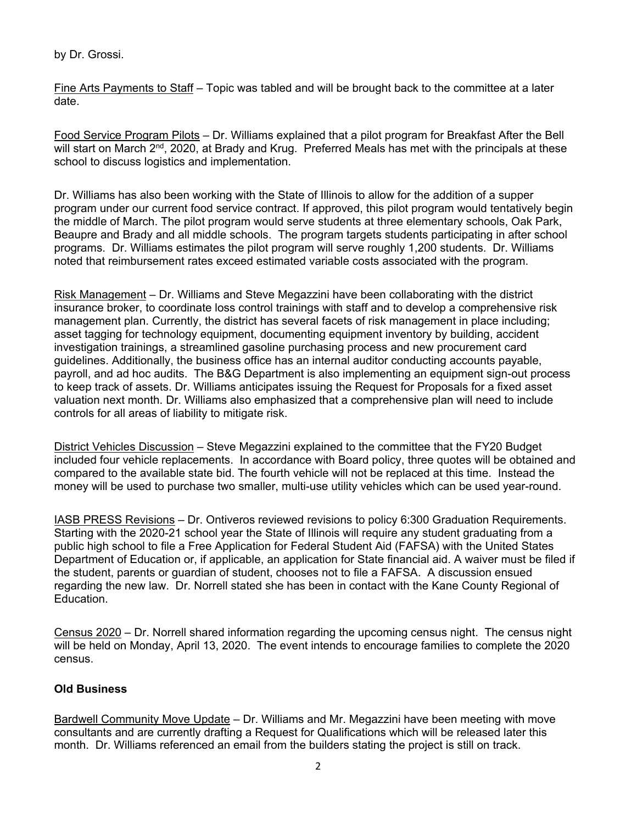by Dr. Grossi.

Fine Arts Payments to Staff – Topic was tabled and will be brought back to the committee at a later date.

Food Service Program Pilots – Dr. Williams explained that a pilot program for Breakfast After the Bell will start on March 2<sup>nd</sup>, 2020, at Brady and Krug. Preferred Meals has met with the principals at these school to discuss logistics and implementation.

Dr. Williams has also been working with the State of Illinois to allow for the addition of a supper program under our current food service contract. If approved, this pilot program would tentatively begin the middle of March. The pilot program would serve students at three elementary schools, Oak Park, Beaupre and Brady and all middle schools. The program targets students participating in after school programs. Dr. Williams estimates the pilot program will serve roughly 1,200 students. Dr. Williams noted that reimbursement rates exceed estimated variable costs associated with the program.

Risk Management – Dr. Williams and Steve Megazzini have been collaborating with the district insurance broker, to coordinate loss control trainings with staff and to develop a comprehensive risk management plan. Currently, the district has several facets of risk management in place including; asset tagging for technology equipment, documenting equipment inventory by building, accident investigation trainings, a streamlined gasoline purchasing process and new procurement card guidelines. Additionally, the business office has an internal auditor conducting accounts payable, payroll, and ad hoc audits. The B&G Department is also implementing an equipment sign-out process to keep track of assets. Dr. Williams anticipates issuing the Request for Proposals for a fixed asset valuation next month. Dr. Williams also emphasized that a comprehensive plan will need to include controls for all areas of liability to mitigate risk.

District Vehicles Discussion – Steve Megazzini explained to the committee that the FY20 Budget included four vehicle replacements. In accordance with Board policy, three quotes will be obtained and compared to the available state bid. The fourth vehicle will not be replaced at this time. Instead the money will be used to purchase two smaller, multi-use utility vehicles which can be used year-round.

IASB PRESS Revisions – Dr. Ontiveros reviewed revisions to policy 6:300 Graduation Requirements. Starting with the 2020-21 school year the State of Illinois will require any student graduating from a public high school to file a Free Application for Federal Student Aid (FAFSA) with the United States Department of Education or, if applicable, an application for State financial aid. A waiver must be filed if the student, parents or guardian of student, chooses not to file a FAFSA. A discussion ensued regarding the new law. Dr. Norrell stated she has been in contact with the Kane County Regional of Education.

Census 2020 – Dr. Norrell shared information regarding the upcoming census night. The census night will be held on Monday, April 13, 2020. The event intends to encourage families to complete the 2020 census.

## **Old Business**

Bardwell Community Move Update – Dr. Williams and Mr. Megazzini have been meeting with move consultants and are currently drafting a Request for Qualifications which will be released later this month. Dr. Williams referenced an email from the builders stating the project is still on track.